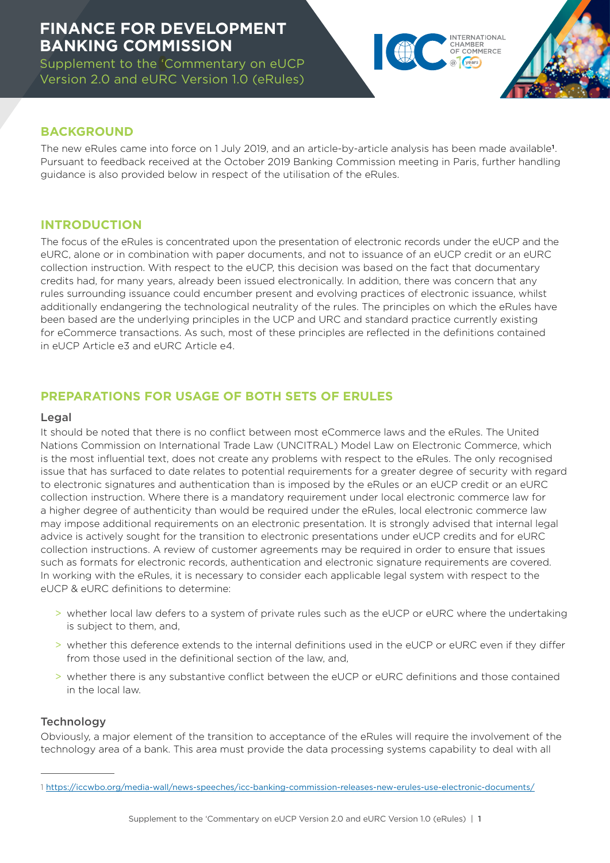# **FINANCE FOR DEVELOPMENT BANKING COMMISSION**

Supplement to the 'Commentary on eUCP Version 2.0 and eURC Version 1.0 (eRules)

# TERNATIONAL CHAMRER OF COMMERCE @ years

# **BACKGROUND**

The new eRules came into force on 1 July 2019, and an article-by-article analysis has been made available<sup>1</sup>. Pursuant to feedback received at the October 2019 Banking Commission meeting in Paris, further handling guidance is also provided below in respect of the utilisation of the eRules.

# **INTRODUCTION**

The focus of the eRules is concentrated upon the presentation of electronic records under the eUCP and the eURC, alone or in combination with paper documents, and not to issuance of an eUCP credit or an eURC collection instruction. With respect to the eUCP, this decision was based on the fact that documentary credits had, for many years, already been issued electronically. In addition, there was concern that any rules surrounding issuance could encumber present and evolving practices of electronic issuance, whilst additionally endangering the technological neutrality of the rules. The principles on which the eRules have been based are the underlying principles in the UCP and URC and standard practice currently existing for eCommerce transactions. As such, most of these principles are reflected in the definitions contained in eUCP Article e3 and eURC Article e4.

# **PREPARATIONS FOR USAGE OF BOTH SETS OF ERULES**

#### Legal

It should be noted that there is no conflict between most eCommerce laws and the eRules. The United Nations Commission on International Trade Law (UNCITRAL) Model Law on Electronic Commerce, which is the most influential text, does not create any problems with respect to the eRules. The only recognised issue that has surfaced to date relates to potential requirements for a greater degree of security with regard to electronic signatures and authentication than is imposed by the eRules or an eUCP credit or an eURC collection instruction. Where there is a mandatory requirement under local electronic commerce law for a higher degree of authenticity than would be required under the eRules, local electronic commerce law may impose additional requirements on an electronic presentation. It is strongly advised that internal legal advice is actively sought for the transition to electronic presentations under eUCP credits and for eURC collection instructions. A review of customer agreements may be required in order to ensure that issues such as formats for electronic records, authentication and electronic signature requirements are covered. In working with the eRules, it is necessary to consider each applicable legal system with respect to the eUCP & eURC definitions to determine:

- > whether local law defers to a system of private rules such as the eUCP or eURC where the undertaking is subject to them, and,
- > whether this deference extends to the internal definitions used in the eUCP or eURC even if they differ from those used in the definitional section of the law, and,
- > whether there is any substantive conflict between the eUCP or eURC definitions and those contained in the local law.

#### **Technology**

Obviously, a major element of the transition to acceptance of the eRules will require the involvement of the technology area of a bank. This area must provide the data processing systems capability to deal with all

<sup>1</sup> <https://iccwbo.org/media-wall/news-speeches/icc-banking-commission-releases-new-erules-use-electronic-documents/>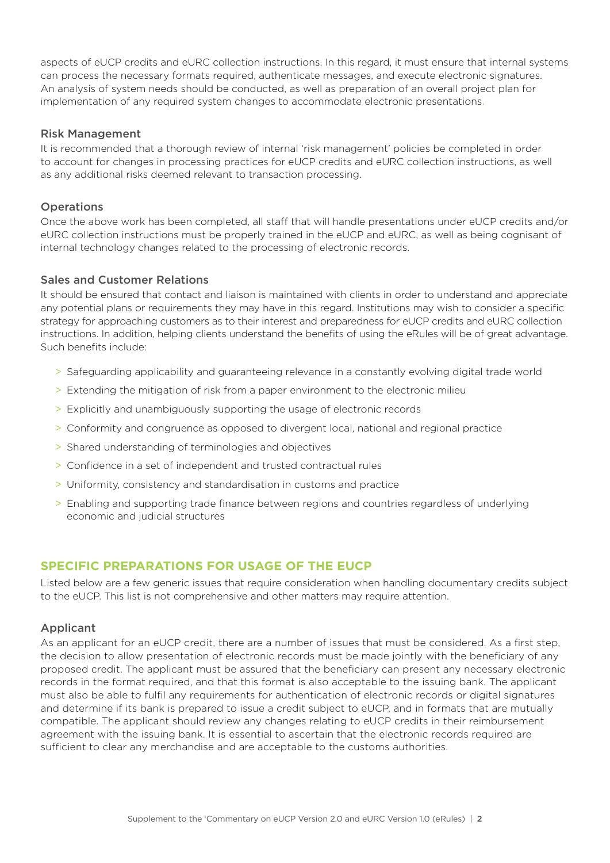aspects of eUCP credits and eURC collection instructions. In this regard, it must ensure that internal systems can process the necessary formats required, authenticate messages, and execute electronic signatures. An analysis of system needs should be conducted, as well as preparation of an overall project plan for implementation of any required system changes to accommodate electronic presentations.

# Risk Management

It is recommended that a thorough review of internal 'risk management' policies be completed in order to account for changes in processing practices for eUCP credits and eURC collection instructions, as well as any additional risks deemed relevant to transaction processing.

# **Operations**

Once the above work has been completed, all staff that will handle presentations under eUCP credits and/or eURC collection instructions must be properly trained in the eUCP and eURC, as well as being cognisant of internal technology changes related to the processing of electronic records.

#### Sales and Customer Relations

It should be ensured that contact and liaison is maintained with clients in order to understand and appreciate any potential plans or requirements they may have in this regard. Institutions may wish to consider a specific strategy for approaching customers as to their interest and preparedness for eUCP credits and eURC collection instructions. In addition, helping clients understand the benefits of using the eRules will be of great advantage. Such benefits include:

- > Safeguarding applicability and guaranteeing relevance in a constantly evolving digital trade world
- > Extending the mitigation of risk from a paper environment to the electronic milieu
- > Explicitly and unambiguously supporting the usage of electronic records
- > Conformity and congruence as opposed to divergent local, national and regional practice
- > Shared understanding of terminologies and objectives
- > Confidence in a set of independent and trusted contractual rules
- > Uniformity, consistency and standardisation in customs and practice
- > Enabling and supporting trade finance between regions and countries regardless of underlying economic and judicial structures

# **SPECIFIC PREPARATIONS FOR USAGE OF THE EUCP**

Listed below are a few generic issues that require consideration when handling documentary credits subject to the eUCP. This list is not comprehensive and other matters may require attention.

#### Applicant

As an applicant for an eUCP credit, there are a number of issues that must be considered. As a first step, the decision to allow presentation of electronic records must be made jointly with the beneficiary of any proposed credit. The applicant must be assured that the beneficiary can present any necessary electronic records in the format required, and that this format is also acceptable to the issuing bank. The applicant must also be able to fulfil any requirements for authentication of electronic records or digital signatures and determine if its bank is prepared to issue a credit subject to eUCP, and in formats that are mutually compatible. The applicant should review any changes relating to eUCP credits in their reimbursement agreement with the issuing bank. It is essential to ascertain that the electronic records required are sufficient to clear any merchandise and are acceptable to the customs authorities.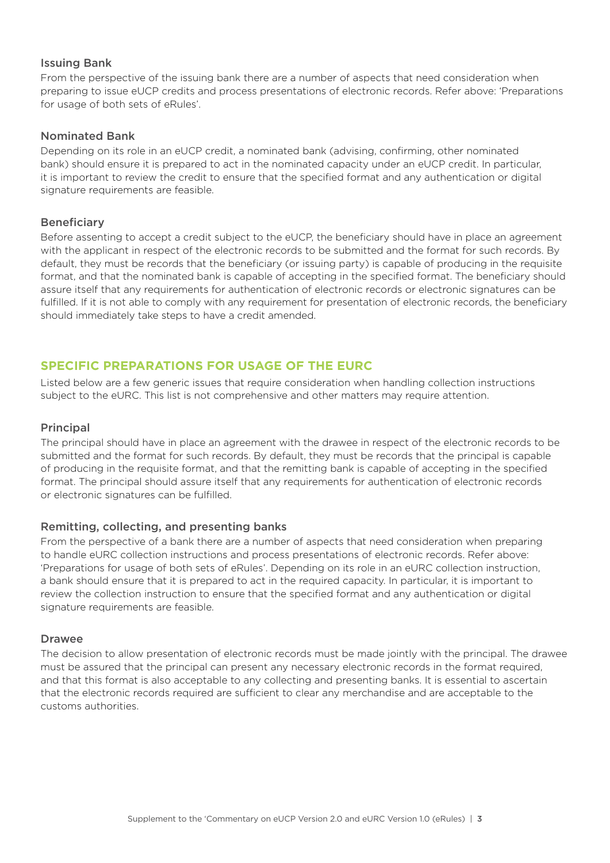#### Issuing Bank

From the perspective of the issuing bank there are a number of aspects that need consideration when preparing to issue eUCP credits and process presentations of electronic records. Refer above: 'Preparations for usage of both sets of eRules'.

#### Nominated Bank

Depending on its role in an eUCP credit, a nominated bank (advising, confirming, other nominated bank) should ensure it is prepared to act in the nominated capacity under an eUCP credit. In particular, it is important to review the credit to ensure that the specified format and any authentication or digital signature requirements are feasible.

#### **Beneficiary**

Before assenting to accept a credit subject to the eUCP, the beneficiary should have in place an agreement with the applicant in respect of the electronic records to be submitted and the format for such records. By default, they must be records that the beneficiary (or issuing party) is capable of producing in the requisite format, and that the nominated bank is capable of accepting in the specified format. The beneficiary should assure itself that any requirements for authentication of electronic records or electronic signatures can be fulfilled. If it is not able to comply with any requirement for presentation of electronic records, the beneficiary should immediately take steps to have a credit amended.

# **SPECIFIC PREPARATIONS FOR USAGE OF THE EURC**

Listed below are a few generic issues that require consideration when handling collection instructions subject to the eURC. This list is not comprehensive and other matters may require attention.

#### Principal

The principal should have in place an agreement with the drawee in respect of the electronic records to be submitted and the format for such records. By default, they must be records that the principal is capable of producing in the requisite format, and that the remitting bank is capable of accepting in the specified format. The principal should assure itself that any requirements for authentication of electronic records or electronic signatures can be fulfilled.

# Remitting, collecting, and presenting banks

From the perspective of a bank there are a number of aspects that need consideration when preparing to handle eURC collection instructions and process presentations of electronic records. Refer above: 'Preparations for usage of both sets of eRules'. Depending on its role in an eURC collection instruction, a bank should ensure that it is prepared to act in the required capacity. In particular, it is important to review the collection instruction to ensure that the specified format and any authentication or digital signature requirements are feasible.

#### Drawee

The decision to allow presentation of electronic records must be made jointly with the principal. The drawee must be assured that the principal can present any necessary electronic records in the format required, and that this format is also acceptable to any collecting and presenting banks. It is essential to ascertain that the electronic records required are sufficient to clear any merchandise and are acceptable to the customs authorities.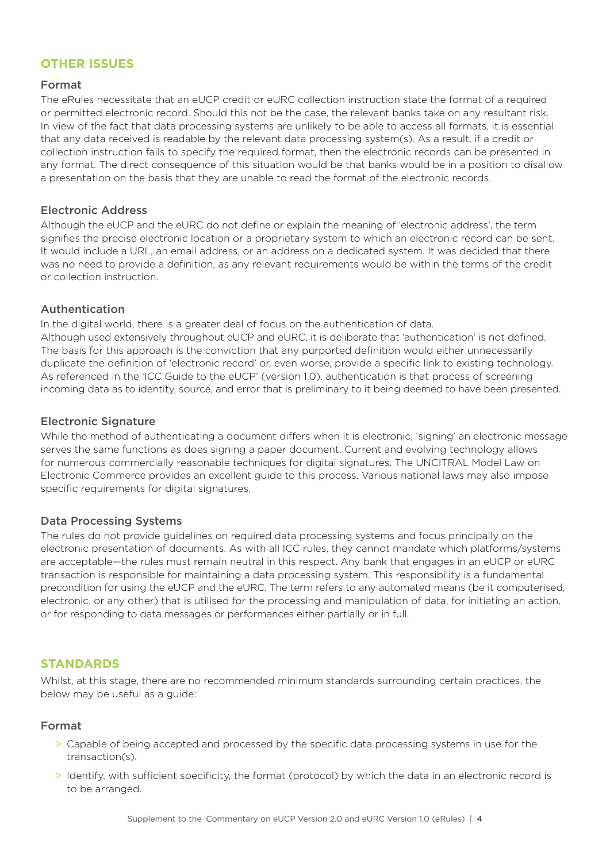# **OTHER ISSUES**

#### Format

The eRules necessitate that an eUCP credit or eURC collection instruction state the format of a required or permitted electronic record. Should this not be the case, the relevant banks take on any resultant risk. In view of the fact that data processing systems are unlikely to be able to access all formats, it is essential that any data received is readable by the relevant data processing system(s). As a result, if a credit or collection instruction fails to specify the required format, then the electronic records can be presented in any format. The direct consequence of this situation would be that banks would be in a position to disallow a presentation on the basis that they are unable to read the format of the electronic records.

#### Electronic Address

Although the eUCP and the eURC do not define or explain the meaning of 'electronic address', the term signifies the precise electronic location or a proprietary system to which an electronic record can be sent. It would include a URL, an email address, or an address on a dedicated system. It was decided that there was no need to provide a definition, as any relevant requirements would be within the terms of the credit or collection instruction.

# Authentication

In the digital world, there is a greater deal of focus on the authentication of data. Although used extensively throughout eUCP and eURC, it is deliberate that 'authentication' is not defined.

The basis for this approach is the conviction that any purported definition would either unnecessarily duplicate the definition of 'electronic record' or, even worse, provide a specific link to existing technology. As referenced in the 'ICC Guide to the eUCP' (version 1.0), authentication is that process of screening incoming data as to identity, source, and error that is preliminary to it being deemed to have been presented.

#### Electronic Signature

While the method of authenticating a document differs when it is electronic, 'signing' an electronic message serves the same functions as does signing a paper document. Current and evolving technology allows for numerous commercially reasonable techniques for digital signatures. The UNCITRAL Model Law on Electronic Commerce provides an excellent guide to this process. Various national laws may also impose specific requirements for digital signatures.

# Data Processing Systems

The rules do not provide guidelines on required data processing systems and focus principally on the electronic presentation of documents. As with all ICC rules, they cannot mandate which platforms/systems are acceptable—the rules must remain neutral in this respect. Any bank that engages in an eUCP or eURC transaction is responsible for maintaining a data processing system. This responsibility is a fundamental precondition for using the eUCP and the eURC. The term refers to any automated means (be it computerised, electronic, or any other) that is utilised for the processing and manipulation of data, for initiating an action, or for responding to data messages or performances either partially or in full.

# **STANDARDS**

Whilst, at this stage, there are no recommended minimum standards surrounding certain practices, the below may be useful as a guide:

# Format

- > Capable of being accepted and processed by the specific data processing systems in use for the transaction(s).
- > Identify, with sufficient specificity, the format (protocol) by which the data in an electronic record is to be arranged.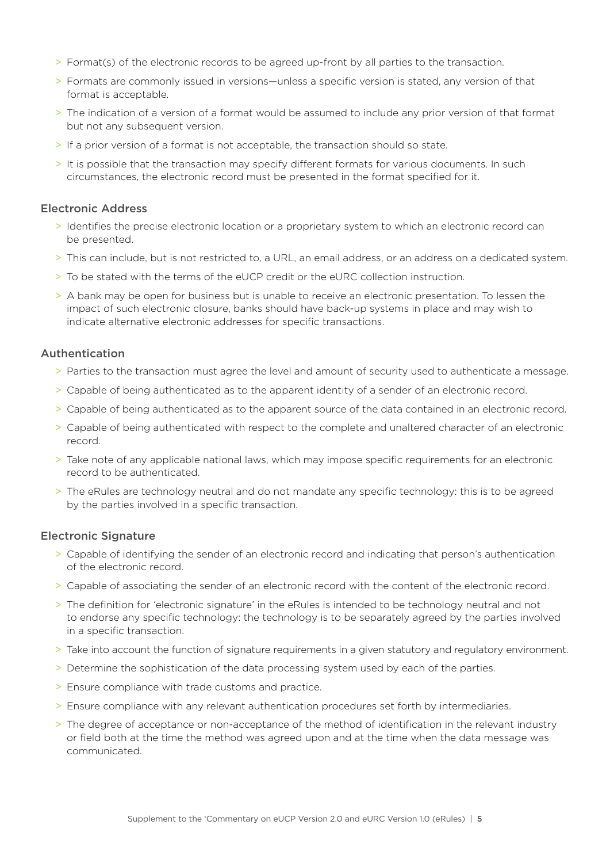- > Format(s) of the electronic records to be agreed up-front by all parties to the transaction.
- > Formats are commonly issued in versions—unless a specific version is stated, any version of that format is acceptable.
- > The indication of a version of a format would be assumed to include any prior version of that format but not any subsequent version.
- > If a prior version of a format is not acceptable, the transaction should so state.
- > It is possible that the transaction may specify different formats for various documents. In such circumstances, the electronic record must be presented in the format specified for it.

#### Electronic Address

- > Identifies the precise electronic location or a proprietary system to which an electronic record can be presented.
- > This can include, but is not restricted to, a URL, an email address, or an address on a dedicated system.
- > To be stated with the terms of the eUCP credit or the eURC collection instruction.
- > A bank may be open for business but is unable to receive an electronic presentation. To lessen the impact of such electronic closure, banks should have back-up systems in place and may wish to indicate alternative electronic addresses for specific transactions.

#### Authentication

- > Parties to the transaction must agree the level and amount of security used to authenticate a message.
- > Capable of being authenticated as to the apparent identity of a sender of an electronic record.
- > Capable of being authenticated as to the apparent source of the data contained in an electronic record.
- > Capable of being authenticated with respect to the complete and unaltered character of an electronic record.
- > Take note of any applicable national laws, which may impose specific requirements for an electronic record to be authenticated.
- > The eRules are technology neutral and do not mandate any specific technology: this is to be agreed by the parties involved in a specific transaction.

#### Electronic Signature

- > Capable of identifying the sender of an electronic record and indicating that person's authentication of the electronic record.
- > Capable of associating the sender of an electronic record with the content of the electronic record.
- > The definition for 'electronic signature' in the eRules is intended to be technology neutral and not to endorse any specific technology: the technology is to be separately agreed by the parties involved in a specific transaction.
- > Take into account the function of signature requirements in a given statutory and regulatory environment.
- > Determine the sophistication of the data processing system used by each of the parties.
- > Ensure compliance with trade customs and practice.
- > Ensure compliance with any relevant authentication procedures set forth by intermediaries.
- > The degree of acceptance or non-acceptance of the method of identification in the relevant industry or field both at the time the method was agreed upon and at the time when the data message was communicated.